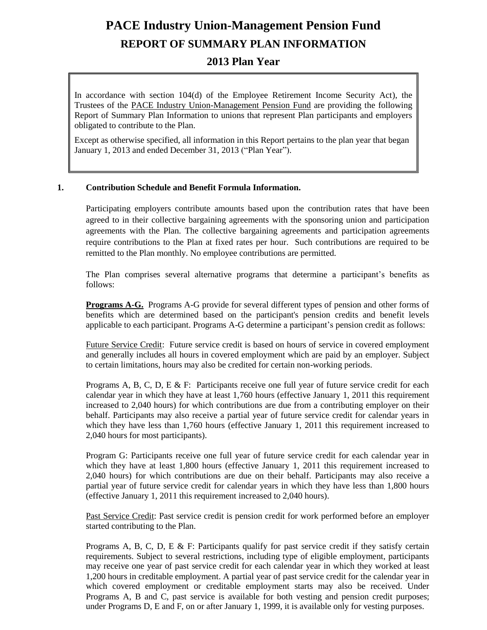# **PACE Industry Union-Management Pension Fund REPORT OF SUMMARY PLAN INFORMATION**

# **2013 Plan Year**

In accordance with section 104(d) of the Employee Retirement Income Security Act), the Trustees of the PACE Industry Union-Management Pension Fund are providing the following Report of Summary Plan Information to unions that represent Plan participants and employers obligated to contribute to the Plan.

Except as otherwise specified, all information in this Report pertains to the plan year that began January 1, 2013 and ended December 31, 2013 ("Plan Year").

#### **1. Contribution Schedule and Benefit Formula Information.**

Participating employers contribute amounts based upon the contribution rates that have been agreed to in their collective bargaining agreements with the sponsoring union and participation agreements with the Plan. The collective bargaining agreements and participation agreements require contributions to the Plan at fixed rates per hour. Such contributions are required to be remitted to the Plan monthly. No employee contributions are permitted.

The Plan comprises several alternative programs that determine a participant's benefits as follows:

**Programs A-G.** Programs A-G provide for several different types of pension and other forms of benefits which are determined based on the participant's pension credits and benefit levels applicable to each participant. Programs A-G determine a participant's pension credit as follows:

Future Service Credit: Future service credit is based on hours of service in covered employment and generally includes all hours in covered employment which are paid by an employer. Subject to certain limitations, hours may also be credited for certain non-working periods.

Programs A, B, C, D, E & F: Participants receive one full year of future service credit for each calendar year in which they have at least 1,760 hours (effective January 1, 2011 this requirement increased to 2,040 hours) for which contributions are due from a contributing employer on their behalf. Participants may also receive a partial year of future service credit for calendar years in which they have less than 1,760 hours (effective January 1, 2011 this requirement increased to 2,040 hours for most participants).

Program G: Participants receive one full year of future service credit for each calendar year in which they have at least 1,800 hours (effective January 1, 2011 this requirement increased to 2,040 hours) for which contributions are due on their behalf. Participants may also receive a partial year of future service credit for calendar years in which they have less than 1,800 hours (effective January 1, 2011 this requirement increased to 2,040 hours).

Past Service Credit: Past service credit is pension credit for work performed before an employer started contributing to the Plan.

Programs A, B, C, D, E & F: Participants qualify for past service credit if they satisfy certain requirements. Subject to several restrictions, including type of eligible employment, participants may receive one year of past service credit for each calendar year in which they worked at least 1,200 hours in creditable employment. A partial year of past service credit for the calendar year in which covered employment or creditable employment starts may also be received. Under Programs A, B and C, past service is available for both vesting and pension credit purposes; under Programs D, E and F, on or after January 1, 1999, it is available only for vesting purposes.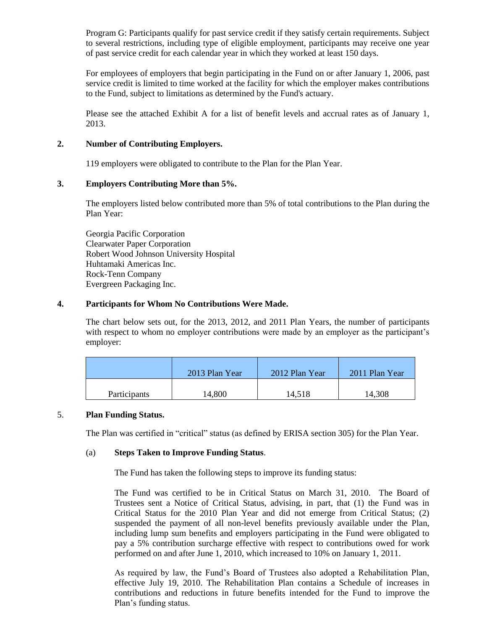Program G: Participants qualify for past service credit if they satisfy certain requirements. Subject to several restrictions, including type of eligible employment, participants may receive one year of past service credit for each calendar year in which they worked at least 150 days.

For employees of employers that begin participating in the Fund on or after January 1, 2006, past service credit is limited to time worked at the facility for which the employer makes contributions to the Fund, subject to limitations as determined by the Fund's actuary.

Please see the attached Exhibit A for a list of benefit levels and accrual rates as of January 1, 2013.

## **2. Number of Contributing Employers.**

119 employers were obligated to contribute to the Plan for the Plan Year.

## **3. Employers Contributing More than 5%.**

The employers listed below contributed more than 5% of total contributions to the Plan during the Plan Year:

Georgia Pacific Corporation Clearwater Paper Corporation Robert Wood Johnson University Hospital Huhtamaki Americas Inc. Rock-Tenn Company Evergreen Packaging Inc.

#### **4. Participants for Whom No Contributions Were Made.**

The chart below sets out, for the 2013, 2012, and 2011 Plan Years, the number of participants with respect to whom no employer contributions were made by an employer as the participant's employer:

|                     | 2013 Plan Year | 2012 Plan Year | 2011 Plan Year |
|---------------------|----------------|----------------|----------------|
| <b>Participants</b> | 14,800         | 14,518         | 14,308         |

#### 5. **Plan Funding Status.**

The Plan was certified in "critical" status (as defined by ERISA section 305) for the Plan Year.

## (a) **Steps Taken to Improve Funding Status**.

The Fund has taken the following steps to improve its funding status:

The Fund was certified to be in Critical Status on March 31, 2010. The Board of Trustees sent a Notice of Critical Status, advising, in part, that (1) the Fund was in Critical Status for the 2010 Plan Year and did not emerge from Critical Status; (2) suspended the payment of all non-level benefits previously available under the Plan, including lump sum benefits and employers participating in the Fund were obligated to pay a 5% contribution surcharge effective with respect to contributions owed for work performed on and after June 1, 2010, which increased to 10% on January 1, 2011.

As required by law, the Fund's Board of Trustees also adopted a Rehabilitation Plan, effective July 19, 2010. The Rehabilitation Plan contains a Schedule of increases in contributions and reductions in future benefits intended for the Fund to improve the Plan's funding status.